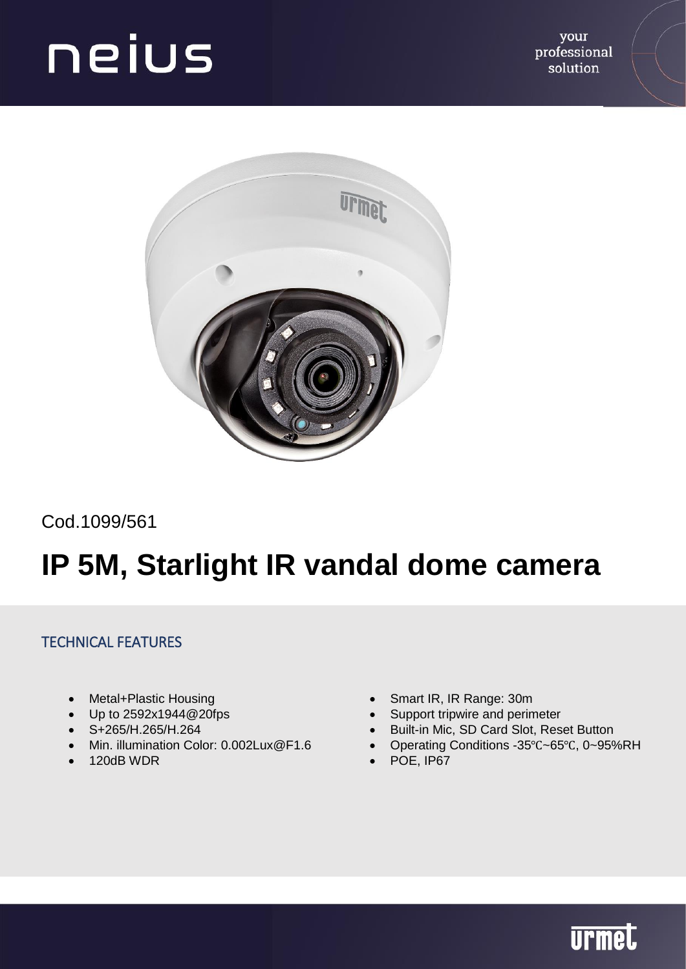

Cod.1099/561

### **IP 5M, Starlight IR vandal dome camera**

#### TECHNICAL FEATURES

- Metal+Plastic Housing
- Up to 2592x1944@20fps
- S+265/H.265/H.264
- Min. illumination Color: 0.002Lux@F1.6
- 120dB WDR
- Smart IR, IR Range: 30m
- Support tripwire and perimeter
- Built-in Mic, SD Card Slot, Reset Button
- Operating Conditions -35℃~65℃, 0~95%RH
- POE, IP67

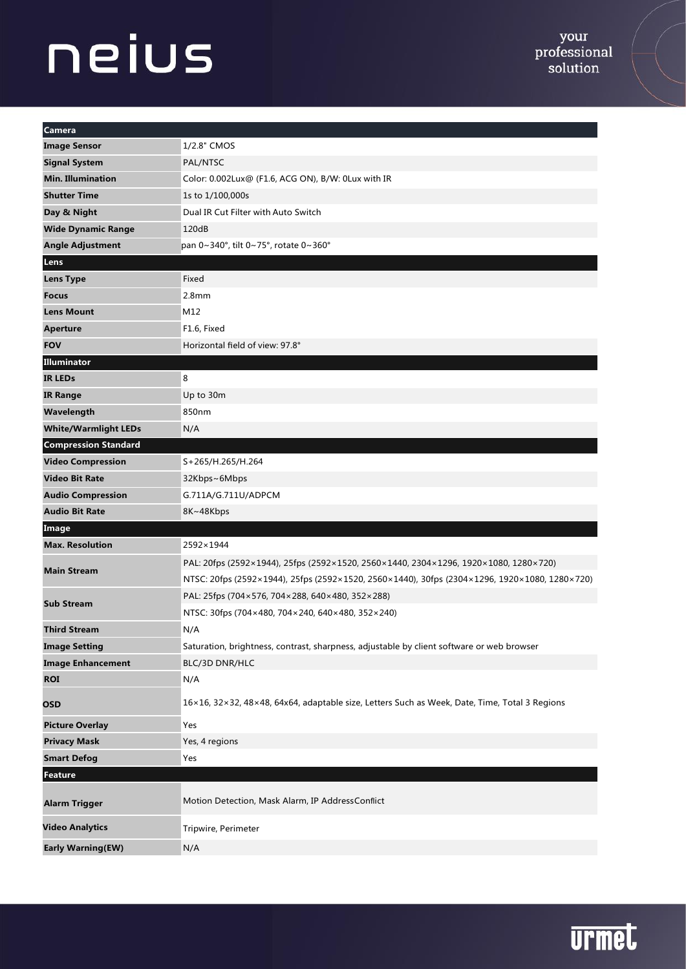| Camera                      |                                                                                               |  |  |
|-----------------------------|-----------------------------------------------------------------------------------------------|--|--|
| <b>Image Sensor</b>         | 1/2.8" CMOS                                                                                   |  |  |
| <b>Signal System</b>        | PAL/NTSC                                                                                      |  |  |
| <b>Min. Illumination</b>    | Color: 0.002Lux@ (F1.6, ACG ON), B/W: 0Lux with IR                                            |  |  |
| <b>Shutter Time</b>         | 1s to 1/100,000s                                                                              |  |  |
| Day & Night                 | Dual IR Cut Filter with Auto Switch                                                           |  |  |
| <b>Wide Dynamic Range</b>   | 120dB                                                                                         |  |  |
| <b>Angle Adjustment</b>     | pan 0~340°, tilt 0~75°, rotate 0~360°                                                         |  |  |
| Lens                        |                                                                                               |  |  |
| <b>Lens Type</b>            | Fixed                                                                                         |  |  |
| <b>Focus</b>                | 2.8 <sub>mm</sub>                                                                             |  |  |
| <b>Lens Mount</b>           | M12                                                                                           |  |  |
| <b>Aperture</b>             | F1.6, Fixed                                                                                   |  |  |
| <b>FOV</b>                  | Horizontal field of view: 97.8°                                                               |  |  |
| Illuminator                 |                                                                                               |  |  |
| <b>IR LEDS</b>              | 8                                                                                             |  |  |
| <b>IR Range</b>             | Up to 30m                                                                                     |  |  |
| Wavelength                  | 850nm                                                                                         |  |  |
| <b>White/Warmlight LEDs</b> | N/A                                                                                           |  |  |
| <b>Compression Standard</b> |                                                                                               |  |  |
| <b>Video Compression</b>    | S+265/H.265/H.264                                                                             |  |  |
| <b>Video Bit Rate</b>       | 32Kbps~6Mbps                                                                                  |  |  |
| <b>Audio Compression</b>    | G.711A/G.711U/ADPCM                                                                           |  |  |
| <b>Audio Bit Rate</b>       | 8K~48Kbps                                                                                     |  |  |
| Image                       |                                                                                               |  |  |
| <b>Max. Resolution</b>      | 2592×1944                                                                                     |  |  |
|                             | PAL: 20fps (2592×1944), 25fps (2592×1520, 2560×1440, 2304×1296, 1920×1080, 1280×720)          |  |  |
| <b>Main Stream</b>          | NTSC: 20fps (2592×1944), 25fps (2592×1520, 2560×1440), 30fps (2304×1296, 1920×1080, 1280×720) |  |  |
| <b>Sub Stream</b>           | PAL: 25fps (704×576, 704×288, 640×480, 352×288)                                               |  |  |
|                             | NTSC: 30fps (704×480, 704×240, 640×480, 352×240)                                              |  |  |
| <b>Third Stream</b>         | N/A                                                                                           |  |  |
| <b>Image Setting</b>        | Saturation, brightness, contrast, sharpness, adjustable by client software or web browser     |  |  |
| <b>Image Enhancement</b>    | BLC/3D DNR/HLC                                                                                |  |  |
| <b>ROI</b>                  | N/A                                                                                           |  |  |
| OSD                         | 16×16, 32×32, 48×48, 64x64, adaptable size, Letters Such as Week, Date, Time, Total 3 Regions |  |  |
| <b>Picture Overlay</b>      | Yes                                                                                           |  |  |
| <b>Privacy Mask</b>         | Yes, 4 regions                                                                                |  |  |
| <b>Smart Defog</b>          | Yes                                                                                           |  |  |
| <b>Feature</b>              |                                                                                               |  |  |
| <b>Alarm Trigger</b>        | Motion Detection, Mask Alarm, IP AddressConflict                                              |  |  |
| <b>Video Analytics</b>      | Tripwire, Perimeter                                                                           |  |  |
| Early Warning(EW)           | N/A                                                                                           |  |  |

### **urmet**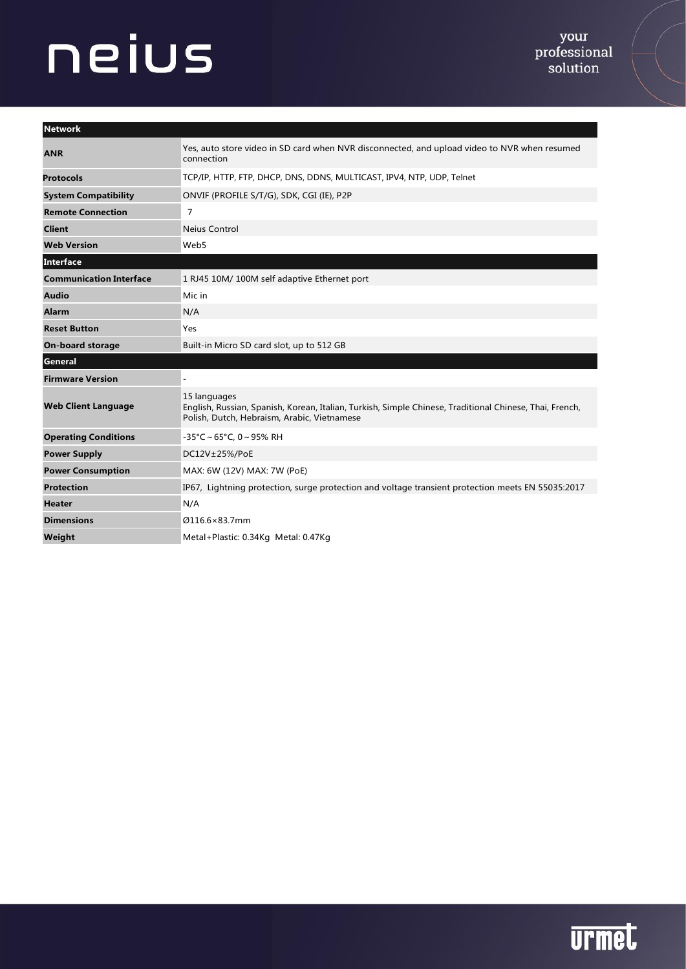| <b>Network</b>                 |                                                                                                                                                                        |  |
|--------------------------------|------------------------------------------------------------------------------------------------------------------------------------------------------------------------|--|
| <b>ANR</b>                     | Yes, auto store video in SD card when NVR disconnected, and upload video to NVR when resumed<br>connection                                                             |  |
| <b>Protocols</b>               | TCP/IP, HTTP, FTP, DHCP, DNS, DDNS, MULTICAST, IPV4, NTP, UDP, Telnet                                                                                                  |  |
| <b>System Compatibility</b>    | ONVIF (PROFILE S/T/G), SDK, CGI (IE), P2P                                                                                                                              |  |
| <b>Remote Connection</b>       | 7                                                                                                                                                                      |  |
| <b>Client</b>                  | <b>Neius Control</b>                                                                                                                                                   |  |
| <b>Web Version</b>             | Web5                                                                                                                                                                   |  |
| Interface                      |                                                                                                                                                                        |  |
| <b>Communication Interface</b> | 1 RJ45 10M/100M self adaptive Ethernet port                                                                                                                            |  |
| <b>Audio</b>                   | Mic in                                                                                                                                                                 |  |
| <b>Alarm</b>                   | N/A                                                                                                                                                                    |  |
| <b>Reset Button</b>            | Yes                                                                                                                                                                    |  |
| <b>On-board storage</b>        | Built-in Micro SD card slot, up to 512 GB                                                                                                                              |  |
| General                        |                                                                                                                                                                        |  |
| <b>Firmware Version</b>        |                                                                                                                                                                        |  |
| <b>Web Client Language</b>     | 15 languages<br>English, Russian, Spanish, Korean, Italian, Turkish, Simple Chinese, Traditional Chinese, Thai, French,<br>Polish, Dutch, Hebraism, Arabic, Vietnamese |  |
| <b>Operating Conditions</b>    | $-35^{\circ}$ C ~ 65°C, 0 ~ 95% RH                                                                                                                                     |  |
| <b>Power Supply</b>            | DC12V±25%/PoE                                                                                                                                                          |  |
| <b>Power Consumption</b>       | MAX: 6W (12V) MAX: 7W (PoE)                                                                                                                                            |  |
| <b>Protection</b>              | IP67, Lightning protection, surge protection and voltage transient protection meets EN 55035:2017                                                                      |  |
| <b>Heater</b>                  | N/A                                                                                                                                                                    |  |
| <b>Dimensions</b>              | Ø116.6×83.7mm                                                                                                                                                          |  |
| Weiaht                         | Metal+Plastic: 0.34Kg Metal: 0.47Kg                                                                                                                                    |  |